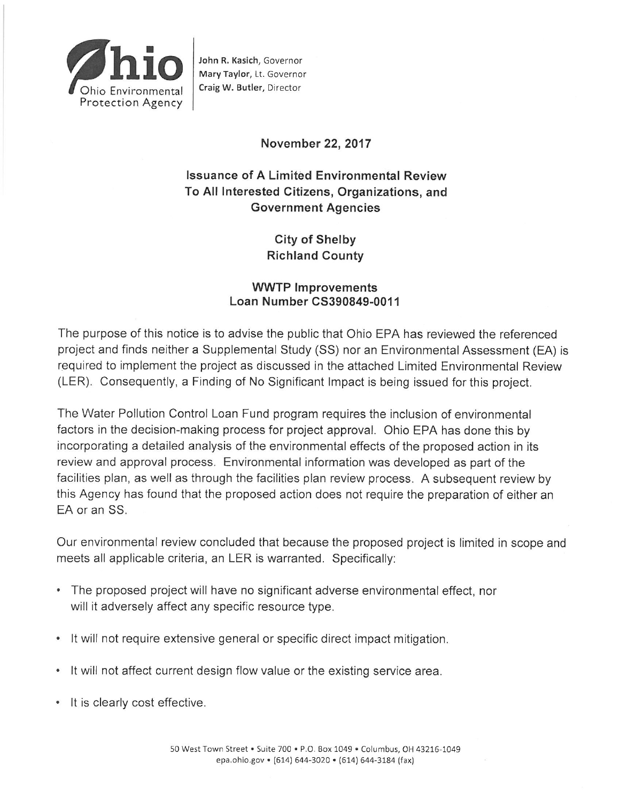

John R. Kasich, Governor Mary Taylor, Lt. Governor Craig W. Butler, Director

### November 22, 2017

# **Issuance of A Limited Environmental Review** To All Interested Citizens, Organizations, and **Government Agencies**

**City of Shelby Richland County** 

### **WWTP Improvements** Loan Number CS390849-0011

The purpose of this notice is to advise the public that Ohio EPA has reviewed the referenced project and finds neither a Supplemental Study (SS) nor an Environmental Assessment (EA) is required to implement the project as discussed in the attached Limited Environmental Review (LER). Consequently, a Finding of No Significant Impact is being issued for this project.

The Water Pollution Control Loan Fund program requires the inclusion of environmental factors in the decision-making process for project approval. Ohio EPA has done this by incorporating a detailed analysis of the environmental effects of the proposed action in its review and approval process. Environmental information was developed as part of the facilities plan, as well as through the facilities plan review process. A subsequent review by this Agency has found that the proposed action does not require the preparation of either an EA or an SS.

Our environmental review concluded that because the proposed project is limited in scope and meets all applicable criteria, an LER is warranted. Specifically:

- The proposed project will have no significant adverse environmental effect, nor will it adversely affect any specific resource type.
- It will not require extensive general or specific direct impact mitigation.
- . It will not affect current design flow value or the existing service area.
- It is clearly cost effective.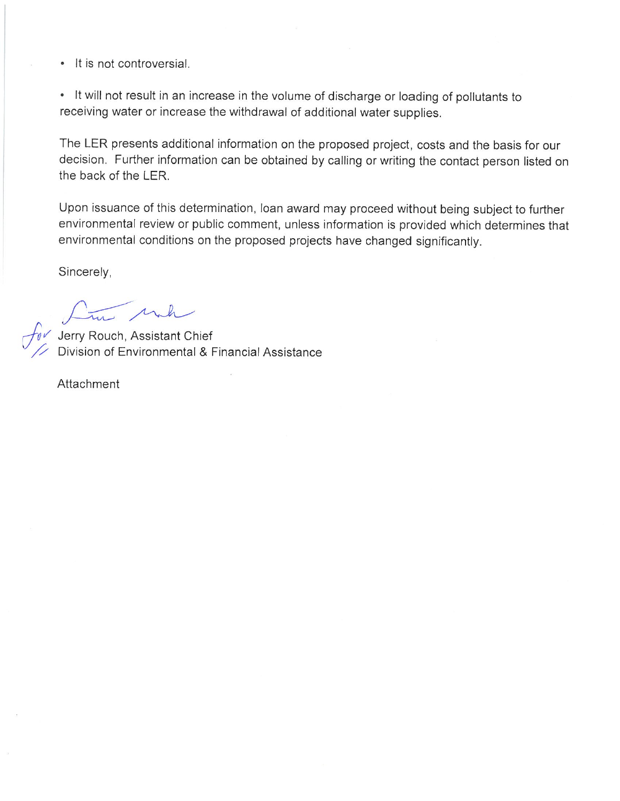• It is not controversial.

• It will not result in an increase in the volume of discharge or loading of pollutants to receiving water or increase the withdrawal of additional water supplies.

The LER presents additional information on the proposed project, costs and the basis for our decision. Further information can be obtained by calling or writing the contact person listed on the back of the LER.

Upon issuance of this determination, loan award may proceed without being subject to further environmental review or public comment, unless information is provided which determines that environmental conditions on the proposed projects have changed significantly.

Sincerely,

Jerry Rouch, Assistant Chief<br>Division of Environmental & Financial Assistance

Attachment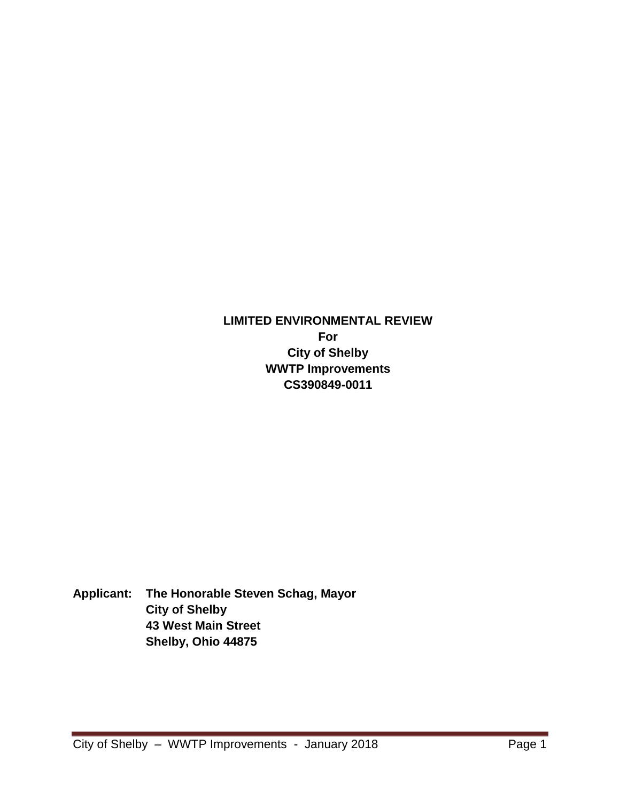# **LIMITED ENVIRONMENTAL REVIEW For City of Shelby WWTP Improvements CS390849-0011**

**Applicant: The Honorable Steven Schag, Mayor City of Shelby 43 West Main Street Shelby, Ohio 44875**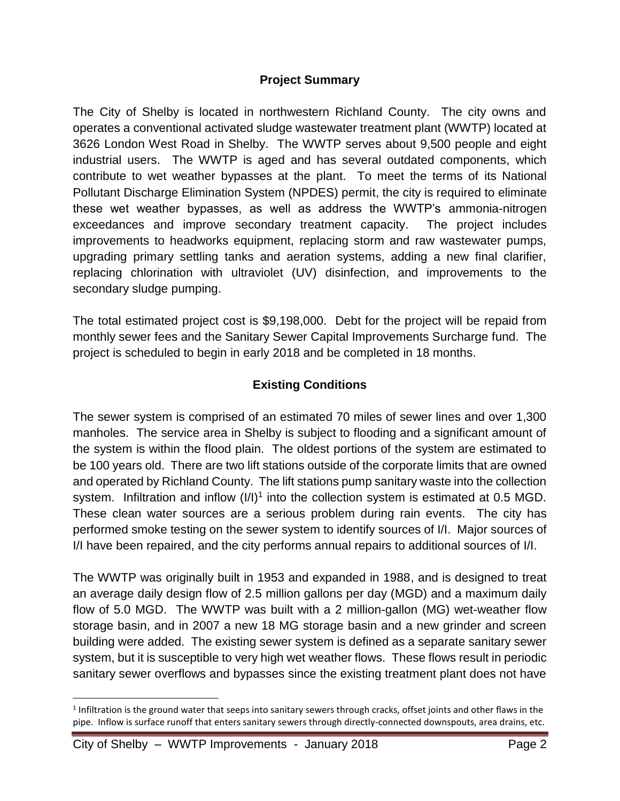# **Project Summary**

The City of Shelby is located in northwestern Richland County. The city owns and operates a conventional activated sludge wastewater treatment plant (WWTP) located at 3626 London West Road in Shelby. The WWTP serves about 9,500 people and eight industrial users. The WWTP is aged and has several outdated components, which contribute to wet weather bypasses at the plant. To meet the terms of its National Pollutant Discharge Elimination System (NPDES) permit, the city is required to eliminate these wet weather bypasses, as well as address the WWTP's ammonia-nitrogen exceedances and improve secondary treatment capacity. The project includes improvements to headworks equipment, replacing storm and raw wastewater pumps, upgrading primary settling tanks and aeration systems, adding a new final clarifier, replacing chlorination with ultraviolet (UV) disinfection, and improvements to the secondary sludge pumping.

The total estimated project cost is \$9,198,000. Debt for the project will be repaid from monthly sewer fees and the Sanitary Sewer Capital Improvements Surcharge fund. The project is scheduled to begin in early 2018 and be completed in 18 months.

# **Existing Conditions**

The sewer system is comprised of an estimated 70 miles of sewer lines and over 1,300 manholes. The service area in Shelby is subject to flooding and a significant amount of the system is within the flood plain. The oldest portions of the system are estimated to be 100 years old. There are two lift stations outside of the corporate limits that are owned and operated by Richland County. The lift stations pump sanitary waste into the collection system. Infiltration and inflow  $(I/I)^1$  into the collection system is estimated at 0.5 MGD. These clean water sources are a serious problem during rain events. The city has performed smoke testing on the sewer system to identify sources of I/I. Major sources of I/I have been repaired, and the city performs annual repairs to additional sources of I/I.

The WWTP was originally built in 1953 and expanded in 1988, and is designed to treat an average daily design flow of 2.5 million gallons per day (MGD) and a maximum daily flow of 5.0 MGD. The WWTP was built with a 2 million-gallon (MG) wet-weather flow storage basin, and in 2007 a new 18 MG storage basin and a new grinder and screen building were added. The existing sewer system is defined as a separate sanitary sewer system, but it is susceptible to very high wet weather flows. These flows result in periodic sanitary sewer overflows and bypasses since the existing treatment plant does not have

 $\overline{\phantom{a}}$ 

 $1$ Infiltration is the ground water that seeps into sanitary sewers through cracks, offset joints and other flaws in the pipe. Inflow is surface runoff that enters sanitary sewers through directly-connected downspouts, area drains, etc.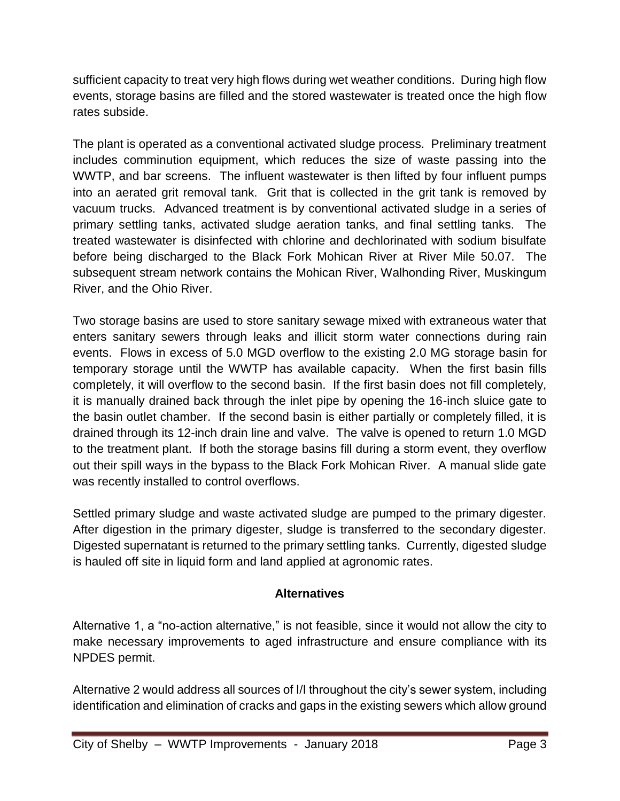sufficient capacity to treat very high flows during wet weather conditions. During high flow events, storage basins are filled and the stored wastewater is treated once the high flow rates subside.

The plant is operated as a conventional activated sludge process. Preliminary treatment includes comminution equipment, which reduces the size of waste passing into the WWTP, and bar screens. The influent wastewater is then lifted by four influent pumps into an aerated grit removal tank. Grit that is collected in the grit tank is removed by vacuum trucks. Advanced treatment is by conventional activated sludge in a series of primary settling tanks, activated sludge aeration tanks, and final settling tanks. The treated wastewater is disinfected with chlorine and dechlorinated with sodium bisulfate before being discharged to the Black Fork Mohican River at River Mile 50.07. The subsequent stream network contains the Mohican River, Walhonding River, Muskingum River, and the Ohio River.

Two storage basins are used to store sanitary sewage mixed with extraneous water that enters sanitary sewers through leaks and illicit storm water connections during rain events. Flows in excess of 5.0 MGD overflow to the existing 2.0 MG storage basin for temporary storage until the WWTP has available capacity. When the first basin fills completely, it will overflow to the second basin. If the first basin does not fill completely, it is manually drained back through the inlet pipe by opening the 16-inch sluice gate to the basin outlet chamber. If the second basin is either partially or completely filled, it is drained through its 12-inch drain line and valve. The valve is opened to return 1.0 MGD to the treatment plant. If both the storage basins fill during a storm event, they overflow out their spill ways in the bypass to the Black Fork Mohican River. A manual slide gate was recently installed to control overflows.

Settled primary sludge and waste activated sludge are pumped to the primary digester. After digestion in the primary digester, sludge is transferred to the secondary digester. Digested supernatant is returned to the primary settling tanks. Currently, digested sludge is hauled off site in liquid form and land applied at agronomic rates.

# **Alternatives**

Alternative 1, a "no-action alternative," is not feasible, since it would not allow the city to make necessary improvements to aged infrastructure and ensure compliance with its NPDES permit.

Alternative 2 would address all sources of I/I throughout the city's sewer system, including identification and elimination of cracks and gaps in the existing sewers which allow ground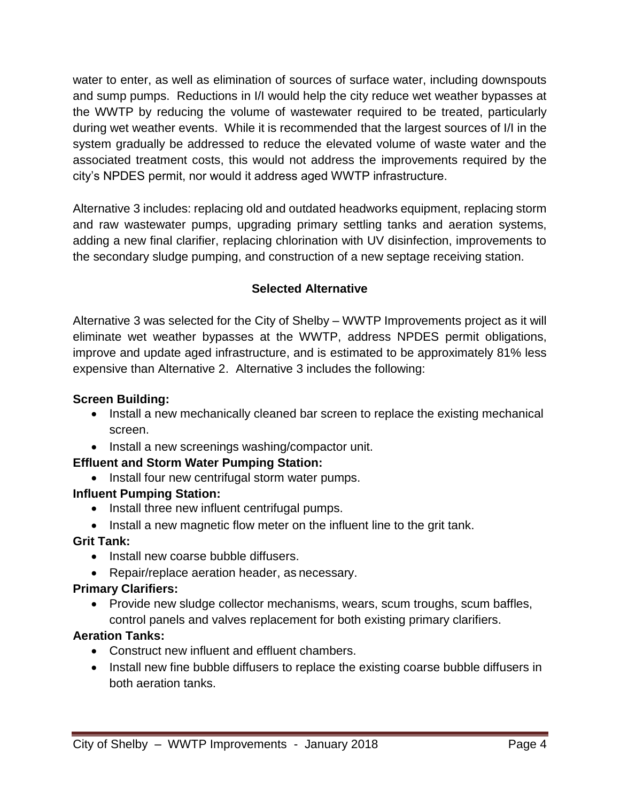water to enter, as well as elimination of sources of surface water, including downspouts and sump pumps. Reductions in I/I would help the city reduce wet weather bypasses at the WWTP by reducing the volume of wastewater required to be treated, particularly during wet weather events. While it is recommended that the largest sources of I/I in the system gradually be addressed to reduce the elevated volume of waste water and the associated treatment costs, this would not address the improvements required by the city's NPDES permit, nor would it address aged WWTP infrastructure.

Alternative 3 includes: replacing old and outdated headworks equipment, replacing storm and raw wastewater pumps, upgrading primary settling tanks and aeration systems, adding a new final clarifier, replacing chlorination with UV disinfection, improvements to the secondary sludge pumping, and construction of a new septage receiving station.

# **Selected Alternative**

Alternative 3 was selected for the City of Shelby – WWTP Improvements project as it will eliminate wet weather bypasses at the WWTP, address NPDES permit obligations, improve and update aged infrastructure, and is estimated to be approximately 81% less expensive than Alternative 2. Alternative 3 includes the following:

# **Screen Building:**

- Install a new mechanically cleaned bar screen to replace the existing mechanical screen.
- Install a new screenings washing/compactor unit.

# **Effluent and Storm Water Pumping Station:**

• Install four new centrifugal storm water pumps.

### **Influent Pumping Station:**

- Install three new influent centrifugal pumps.
- Install a new magnetic flow meter on the influent line to the grit tank.

### **Grit Tank:**

- Install new coarse bubble diffusers.
- Repair/replace aeration header, as necessary.

### **Primary Clarifiers:**

• Provide new sludge collector mechanisms, wears, scum troughs, scum baffles, control panels and valves replacement for both existing primary clarifiers.

### **Aeration Tanks:**

- Construct new influent and effluent chambers.
- Install new fine bubble diffusers to replace the existing coarse bubble diffusers in both aeration tanks.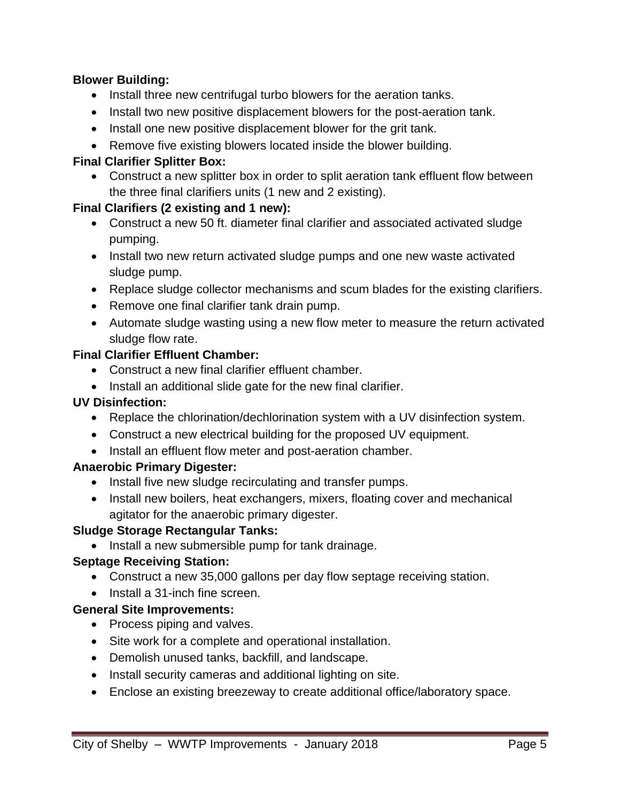### **Blower Building:**

- Install three new centrifugal turbo blowers for the aeration tanks.
- Install two new positive displacement blowers for the post-aeration tank.
- Install one new positive displacement blower for the grit tank.
- Remove five existing blowers located inside the blower building.

#### **Final Clarifier Splitter Box:**

• Construct a new splitter box in order to split aeration tank effluent flow between the three final clarifiers units (1 new and 2 existing).

### **Final Clarifiers (2 existing and 1 new):**

- Construct a new 50 ft. diameter final clarifier and associated activated sludge pumping.
- Install two new return activated sludge pumps and one new waste activated sludge pump.
- Replace sludge collector mechanisms and scum blades for the existing clarifiers.
- Remove one final clarifier tank drain pump.
- Automate sludge wasting using a new flow meter to measure the return activated sludge flow rate.

#### **Final Clarifier Effluent Chamber:**

- Construct a new final clarifier effluent chamber.
- Install an additional slide gate for the new final clarifier.

#### **UV Disinfection:**

- Replace the chlorination/dechlorination system with a UV disinfection system.
- Construct a new electrical building for the proposed UV equipment.
- Install an effluent flow meter and post-aeration chamber.

#### **Anaerobic Primary Digester:**

- Install five new sludge recirculating and transfer pumps.
- Install new boilers, heat exchangers, mixers, floating cover and mechanical agitator for the anaerobic primary digester.

#### **Sludge Storage Rectangular Tanks:**

• Install a new submersible pump for tank drainage.

#### **Septage Receiving Station:**

- Construct a new 35,000 gallons per day flow septage receiving station.
- Install a 31-inch fine screen.

#### **General Site Improvements:**

- Process piping and valves.
- Site work for a complete and operational installation.
- Demolish unused tanks, backfill, and landscape.
- Install security cameras and additional lighting on site.
- Enclose an existing breezeway to create additional office/laboratory space.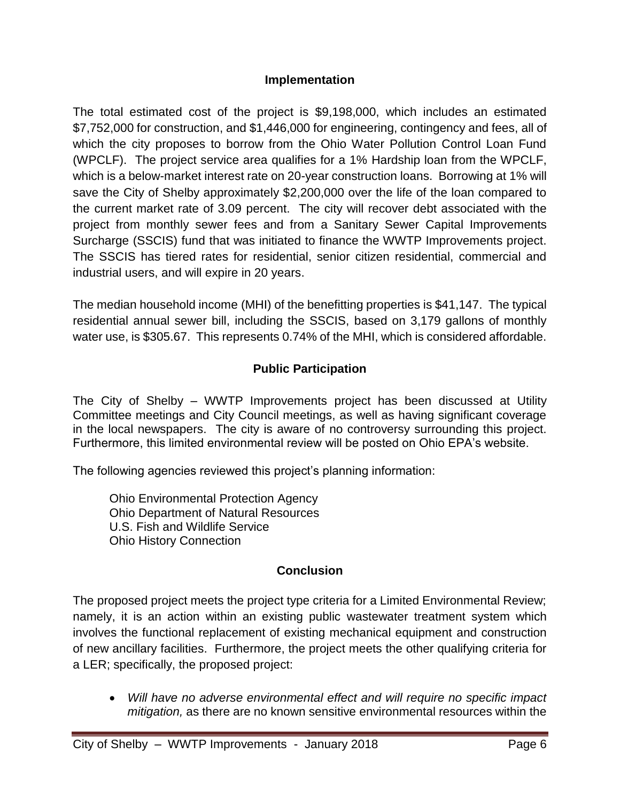### **Implementation**

The total estimated cost of the project is \$9,198,000, which includes an estimated \$7,752,000 for construction, and \$1,446,000 for engineering, contingency and fees, all of which the city proposes to borrow from the Ohio Water Pollution Control Loan Fund (WPCLF). The project service area qualifies for a 1% Hardship loan from the WPCLF, which is a below-market interest rate on 20-year construction loans. Borrowing at 1% will save the City of Shelby approximately \$2,200,000 over the life of the loan compared to the current market rate of 3.09 percent. The city will recover debt associated with the project from monthly sewer fees and from a Sanitary Sewer Capital Improvements Surcharge (SSCIS) fund that was initiated to finance the WWTP Improvements project. The SSCIS has tiered rates for residential, senior citizen residential, commercial and industrial users, and will expire in 20 years.

The median household income (MHI) of the benefitting properties is \$41,147. The typical residential annual sewer bill, including the SSCIS, based on 3,179 gallons of monthly water use, is \$305.67. This represents 0.74% of the MHI, which is considered affordable.

# **Public Participation**

The City of Shelby – WWTP Improvements project has been discussed at Utility Committee meetings and City Council meetings, as well as having significant coverage in the local newspapers. The city is aware of no controversy surrounding this project. Furthermore, this limited environmental review will be posted on Ohio EPA's website.

The following agencies reviewed this project's planning information:

Ohio Environmental Protection Agency Ohio Department of Natural Resources U.S. Fish and Wildlife Service Ohio History Connection

#### **Conclusion**

The proposed project meets the project type criteria for a Limited Environmental Review; namely, it is an action within an existing public wastewater treatment system which involves the functional replacement of existing mechanical equipment and construction of new ancillary facilities. Furthermore, the project meets the other qualifying criteria for a LER; specifically, the proposed project:

• *Will have no adverse environmental effect and will require no specific impact mitigation,* as there are no known sensitive environmental resources within the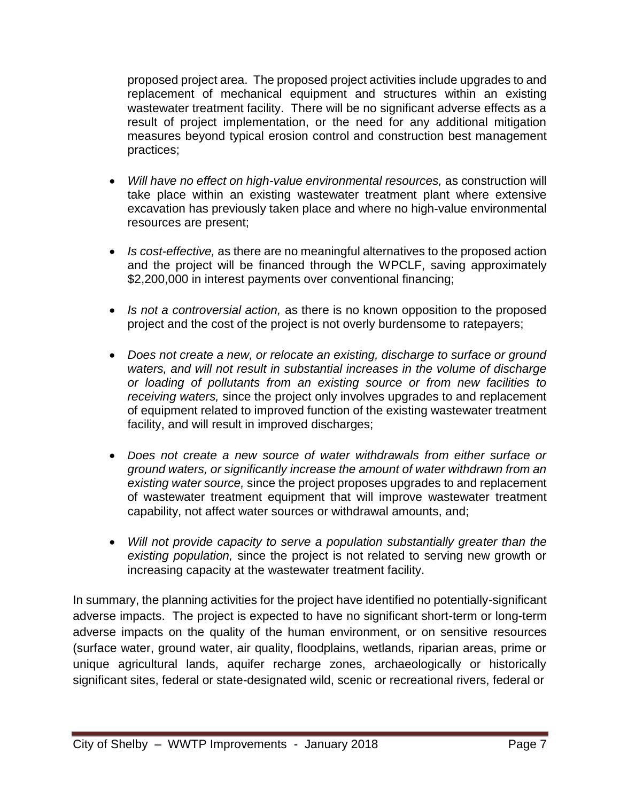proposed project area. The proposed project activities include upgrades to and replacement of mechanical equipment and structures within an existing wastewater treatment facility. There will be no significant adverse effects as a result of project implementation, or the need for any additional mitigation measures beyond typical erosion control and construction best management practices;

- *Will have no effect on high-value environmental resources,* as construction will take place within an existing wastewater treatment plant where extensive excavation has previously taken place and where no high-value environmental resources are present;
- *Is cost-effective,* as there are no meaningful alternatives to the proposed action and the project will be financed through the WPCLF, saving approximately \$2,200,000 in interest payments over conventional financing;
- *Is not a controversial action,* as there is no known opposition to the proposed project and the cost of the project is not overly burdensome to ratepayers;
- *Does not create a new, or relocate an existing, discharge to surface or ground waters, and will not result in substantial increases in the volume of discharge or loading of pollutants from an existing source or from new facilities to receiving waters,* since the project only involves upgrades to and replacement of equipment related to improved function of the existing wastewater treatment facility, and will result in improved discharges;
- *Does not create a new source of water withdrawals from either surface or ground waters, or significantly increase the amount of water withdrawn from an existing water source,* since the project proposes upgrades to and replacement of wastewater treatment equipment that will improve wastewater treatment capability, not affect water sources or withdrawal amounts, and;
- *Will not provide capacity to serve a population substantially greater than the existing population,* since the project is not related to serving new growth or increasing capacity at the wastewater treatment facility.

In summary, the planning activities for the project have identified no potentially-significant adverse impacts. The project is expected to have no significant short-term or long-term adverse impacts on the quality of the human environment, or on sensitive resources (surface water, ground water, air quality, floodplains, wetlands, riparian areas, prime or unique agricultural lands, aquifer recharge zones, archaeologically or historically significant sites, federal or state-designated wild, scenic or recreational rivers, federal or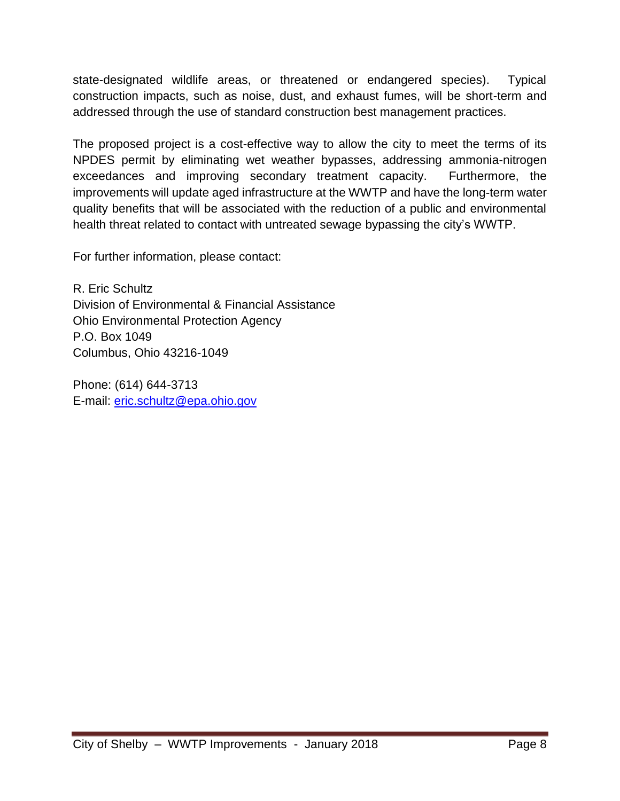state-designated wildlife areas, or threatened or endangered species). Typical construction impacts, such as noise, dust, and exhaust fumes, will be short-term and addressed through the use of standard construction best management practices.

The proposed project is a cost-effective way to allow the city to meet the terms of its NPDES permit by eliminating wet weather bypasses, addressing ammonia-nitrogen exceedances and improving secondary treatment capacity. Furthermore, the improvements will update aged infrastructure at the WWTP and have the long-term water quality benefits that will be associated with the reduction of a public and environmental health threat related to contact with untreated sewage bypassing the city's WWTP.

For further information, please contact:

R. Eric Schultz Division of Environmental & Financial Assistance Ohio Environmental Protection Agency P.O. Box 1049 Columbus, Ohio 43216-1049

Phone: (614) 644-3713 E-mail: [eric.schultz@epa.ohio.gov](mailto:eric.schultz@epa.ohio.gov)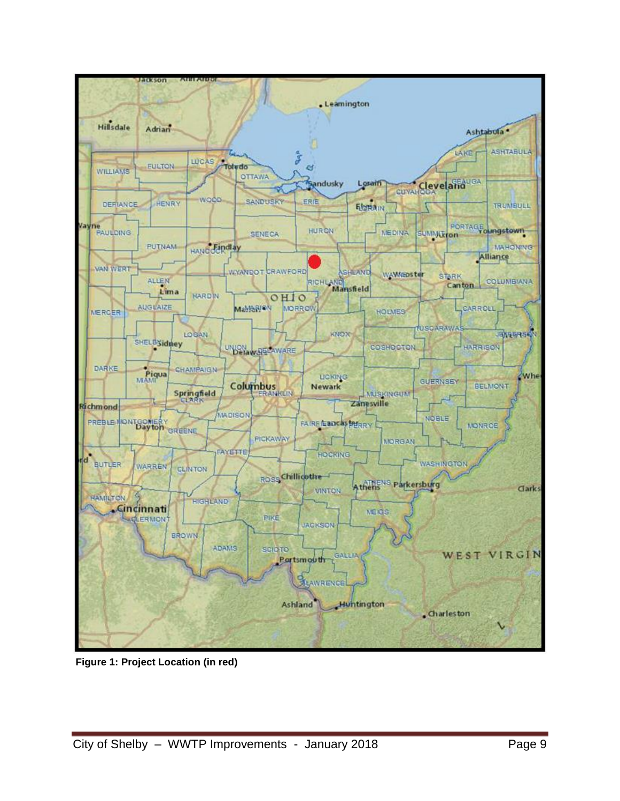

**Figure 1: Project Location (in red)**